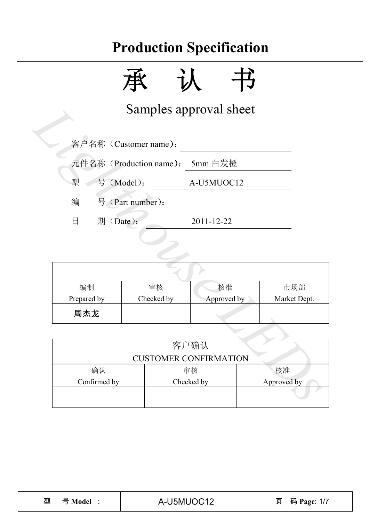承认书

Samples approval sheet

| 编制          | 审核         | 核准          | 市场部          |  |  |
|-------------|------------|-------------|--------------|--|--|
| Prepared by | Checked by | Approved by | Market Dept. |  |  |
| 周杰龙         |            |             |              |  |  |

|                         |                                    | Samples approval sheet |              |  |  |  |  |  |
|-------------------------|------------------------------------|------------------------|--------------|--|--|--|--|--|
|                         | 客户名称 (Customer name):              |                        |              |  |  |  |  |  |
|                         | 元件名称 (Production name):<br>5mm 白发橙 |                        |              |  |  |  |  |  |
| 型                       | 号 (Model):<br>A-U5MUOC12           |                        |              |  |  |  |  |  |
| 编                       | 号 (Part number):                   |                        |              |  |  |  |  |  |
| 期(Date):<br>$\boxminus$ |                                    | 2011-12-22             |              |  |  |  |  |  |
|                         |                                    |                        |              |  |  |  |  |  |
|                         |                                    |                        |              |  |  |  |  |  |
|                         |                                    |                        |              |  |  |  |  |  |
| 编制                      | 审核                                 | 核准                     | 市场部          |  |  |  |  |  |
| Prepared by             | Checked by                         | Approved by            | Market Dept. |  |  |  |  |  |
| 周杰龙                     |                                    |                        |              |  |  |  |  |  |
|                         |                                    |                        |              |  |  |  |  |  |
|                         |                                    | 客户确认                   |              |  |  |  |  |  |
|                         | <b>CUSTOMER CONFIRMATION</b>       |                        |              |  |  |  |  |  |
| 确认                      |                                    | 审核                     | 核准           |  |  |  |  |  |
| Confirmed by            |                                    | Checked by             | Approved by  |  |  |  |  |  |
|                         |                                    |                        |              |  |  |  |  |  |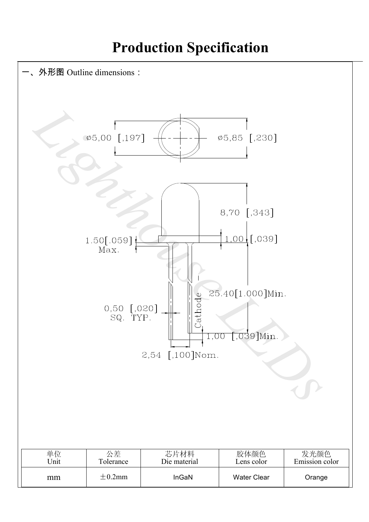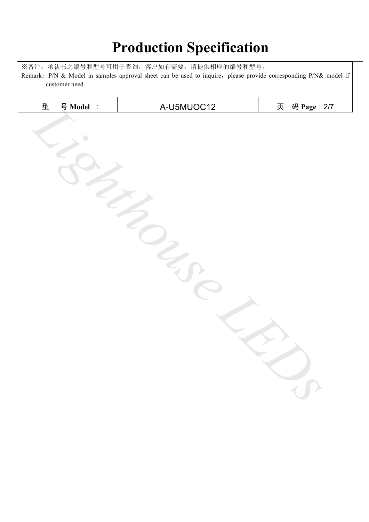※备注:承认书之编号和型号可用于查询,客户如有需要,请提供相应的编号和型号。 Remark: P/N & Model in samples approval sheet can be used to inquire, please provide corresponding P/N& model if customer need .

| 型 | 号 Model : | A-U5MUOC12 | 页 | 码 Page: 2/7 |
|---|-----------|------------|---|-------------|
|   |           |            |   |             |
|   |           |            |   |             |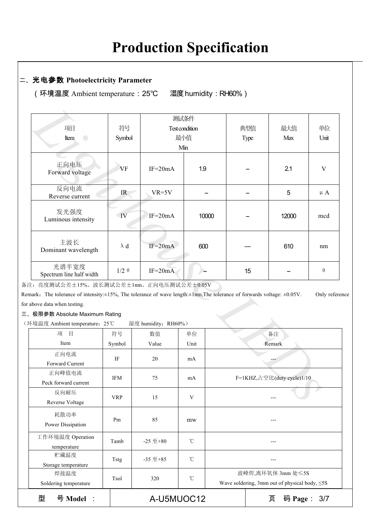### 二、光电参数 **Photoelectricity Parameter**

(环境温度 Ambient temperature:25℃ 湿度humidity:RH60%)

|                                                                                                                                            |                         | 测试条件                |                |                            | 典型值  |        |              |
|--------------------------------------------------------------------------------------------------------------------------------------------|-------------------------|---------------------|----------------|----------------------------|------|--------|--------------|
| 项目                                                                                                                                         | 符号                      |                     | Test condition |                            |      | 最大值    | 单位           |
| Item<br>$\overline{\phantom{0}}$                                                                                                           | Symbol                  |                     | 最小值            |                            | Type | Max    | Unit         |
|                                                                                                                                            |                         |                     | Min            |                            |      |        |              |
| 正向电压<br>Forward voltage                                                                                                                    | VF                      | $IF=20mA$           | 1.9            |                            |      | 2.1    | $\mathbf{V}$ |
| 反向电流<br>Reverse current                                                                                                                    | IR                      | $VR=5V$             |                |                            |      | 5      | $\mu A$      |
| 发光强度<br>Luminous intensity                                                                                                                 | $\overline{\mathbf{W}}$ | $IF=20mA$           | 10000          |                            |      | 12000  | mcd          |
| 主波长<br>Dominant wavelength                                                                                                                 | $\lambda$ d             | $IF=20mA$           | 600            |                            |      | 610    | nm           |
| 光谱半宽度<br>Spectrum line half width                                                                                                          | $1/2 \theta$            | $IF=20mA$           |                |                            | 15   |        | $\theta$     |
| 注: 亮度测试公差±15%、波长测试公差±1nm、正向电压测试公差±0.05V                                                                                                    |                         |                     |                |                            |      |        |              |
| emark. The tolerance of intensity: $\pm 15\%$ , The tolerance of wave length: $\pm 1$ nm, The tolerance of forwards voltage: $\pm 0.05$ V. |                         |                     |                |                            |      |        | Only referer |
| r above data when testing.                                                                                                                 |                         |                     |                |                            |      |        |              |
| 、极限参数 Absolute Maximum Rating                                                                                                              |                         |                     |                |                            |      |        |              |
| 环境温度 Ambient temperature: 25℃                                                                                                              |                         | 湿度 humidity: RH60%) |                |                            |      |        |              |
| 项<br>目                                                                                                                                     | 符号                      | 数值                  | 单位             | 备注                         |      |        |              |
| Item                                                                                                                                       | Symbol                  | Value               | Unit           |                            |      | Remark |              |
| 正向电流                                                                                                                                       | IF                      | 20                  |                |                            |      |        |              |
| Forward Current                                                                                                                            |                         |                     | mA             |                            |      |        |              |
| 正向峰值电流<br>Peck forward current                                                                                                             | <b>IFM</b>              | 75                  | mA             | F=1KHZ,占空比(duty cycle)1/10 |      |        |              |
| 反向耐压<br>Reverse Voltage                                                                                                                    | <b>VRP</b>              | 15                  | V              |                            |      |        |              |

三、极限参数 Absolute Maximum Rating

| 项<br>目                          | 符号         | 数值               | 单位              |                                                                          | 备注               |  |  |
|---------------------------------|------------|------------------|-----------------|--------------------------------------------------------------------------|------------------|--|--|
| Item                            | Symbol     | Value            | Unit            | Remark                                                                   |                  |  |  |
| 正向电流<br>Forward Current         | IF         | 20               | mA              |                                                                          |                  |  |  |
| 正向峰值电流<br>Peck forward current  | <b>IFM</b> | 75               | mA              | F=1KHZ, 占空比(duty cycle)1/10                                              |                  |  |  |
| 反向耐压<br>Reverse Voltage         | <b>VRP</b> | 15               | V               |                                                                          |                  |  |  |
| 耗散功率<br>Power Dissipation       | Pm         | 85               | mw              |                                                                          |                  |  |  |
| 工作环境温度 Operation<br>temperature | Tamb       | $-25 \n  \pm 80$ | °C              |                                                                          |                  |  |  |
| 贮藏温度<br>Storage temperature     | Tstg       | $-35 \n  \pm 85$ | $^{\circ}$ C    |                                                                          |                  |  |  |
| 焊接温度<br>Soldering temperature   | Tsol       | 320              | $\rm ^{\circ}C$ | 波峰焊,离环氧体 3mm 处≤5S<br>Wave soldering, 3mm out of physical body, $\leq$ 5S |                  |  |  |
| 型<br>号 Model                    |            | A-U5MUOC12       |                 |                                                                          | 页<br>码 Page: 3/7 |  |  |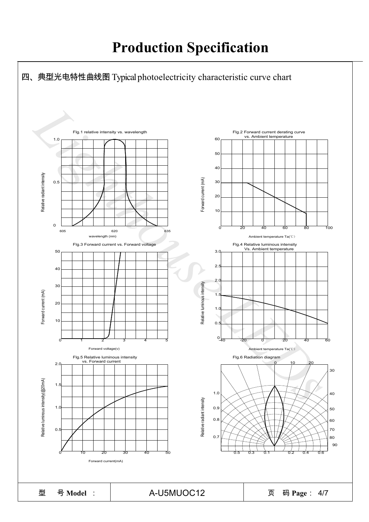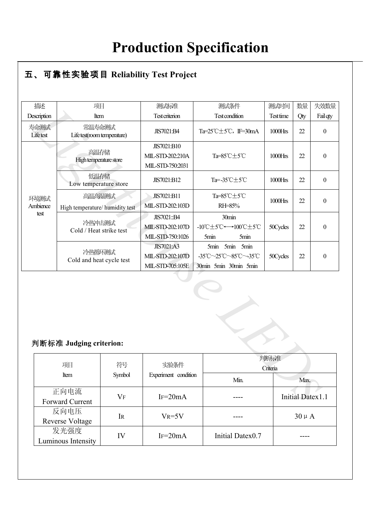### ● **R** 五、可靠性实验项目 **Reliability Test Project**

| 撒述                      | 项目                                        |                                    | 测试标准                            | 测试条件                                                                       | 测试时间       | 数量                      | 失效数量             |
|-------------------------|-------------------------------------------|------------------------------------|---------------------------------|----------------------------------------------------------------------------|------------|-------------------------|------------------|
| Description             | Item                                      |                                    | <b>Test criterion</b>           | <b>Test condition</b>                                                      | Test time  | Qty                     | Fail qty         |
| 寿命测试<br>Lifetest        | 常温寿命测试<br>Life test(room temperature)     |                                    | JIS7021:B4                      | Ta= $25^{\circ}$ C $\pm$ 5 $^{\circ}$ C, IF=30mA                           | 1000Hrs    | 22                      | $\boldsymbol{0}$ |
|                         |                                           | 高温存储<br>High temperature store     |                                 | Ta=85°C±5°C                                                                | 1000Hrs    | 22                      | $\boldsymbol{0}$ |
|                         | 低温存储<br>Low temperature store             |                                    | JIS7021:B12                     | Ta=-35°C±5°C                                                               | $1000$ Hrs | 22                      | $\boldsymbol{0}$ |
| 环境测试<br>Ambience        | 高温高湿测试<br>High temperature/ humidity test |                                    | JIS7021:B11<br>MIL-STD-202:103D | Ta=85°C±5°C<br>RH=85%                                                      | 1000Hrs    | 22                      | $\mathbf{0}$     |
| test                    |                                           | 冷热冲击测试<br>Cold / Heat strike test  |                                 | 30min<br>-10°C $\pm$ 5°C $\leftrightarrow$ 100°C $\pm$ 5°C<br>5min<br>5min | 50Cycles   | 22                      | $\boldsymbol{0}$ |
|                         |                                           | 冷热循环测试<br>Cold and heat cycle test |                                 | 5min 5min 5min<br>-35°C~25°C~85°C~-35°C<br>30min 5min 30min 5min           | 50Cycles   | 22                      | $\boldsymbol{0}$ |
| 判断标准 Judging criterion: |                                           |                                    |                                 |                                                                            |            |                         |                  |
|                         | 判断标准<br>项目<br>符号<br>实验条件<br>Criteria      |                                    |                                 |                                                                            |            |                         |                  |
|                         | Item                                      | Symbol                             | Experiment condition            | Min.                                                                       |            |                         | Max.             |
|                         | 正向电流<br><b>Forward Current</b>            | $V_F$                              | $IF=20mA$                       |                                                                            |            | <b>Initial Datex1.1</b> |                  |

#### 判断标准 **Judging criterion:**

| 判断标准 Judging criterion:        |        |                      |                  |                         |  |  |  |
|--------------------------------|--------|----------------------|------------------|-------------------------|--|--|--|
| 项目                             | 符号     | 实验条件                 | 判断标准<br>Criteria |                         |  |  |  |
| Item                           | Symbol | Experiment condition | Min.             | Max.                    |  |  |  |
| 正向电流<br>Forward Current        | $V_F$  | $IF = 20mA$          |                  | <b>Initial Datex1.1</b> |  |  |  |
| 反向电压<br><b>Reverse Voltage</b> | IR     | $V_R = 5V$           |                  | $30 \mu A$              |  |  |  |
| 发光强度<br>Luminous Intensity     | IV     | $IF = 20mA$          | Initial Datex0.7 |                         |  |  |  |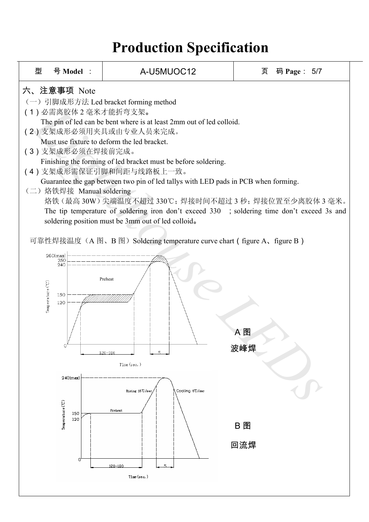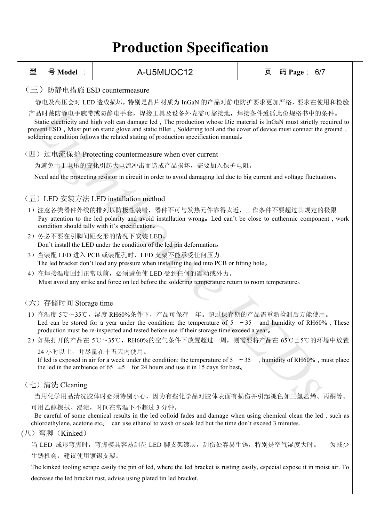| 型 | 号 Model :                                                                                                                                                                                                                                                                                                                                                                                    | A-U5MUOC12                                                                                                                                                                                                                                                             | 页 | 码 Page: 6/7 |     |  |  |  |  |
|---|----------------------------------------------------------------------------------------------------------------------------------------------------------------------------------------------------------------------------------------------------------------------------------------------------------------------------------------------------------------------------------------------|------------------------------------------------------------------------------------------------------------------------------------------------------------------------------------------------------------------------------------------------------------------------|---|-------------|-----|--|--|--|--|
|   | (三) 防静电措施 ESD countermeasure                                                                                                                                                                                                                                                                                                                                                                 |                                                                                                                                                                                                                                                                        |   |             |     |  |  |  |  |
|   | 静电及高压会对 LED 造成损坏, 特别是晶片材质为 InGaN 的产品对静电防护要求更加严格, 要求在使用和检验                                                                                                                                                                                                                                                                                                                                    |                                                                                                                                                                                                                                                                        |   |             |     |  |  |  |  |
|   | 产品时戴防静电手腕带或防静电手套,焊接工具及设备外壳需可靠接地,焊接条件遵循此份规格书中的条件。<br>Static electricity and high volt can damage led, The production whose Die material is InGaN must strictly required to<br>prevent ESD, Must put on static glove and static fillet, Soldering tool and the cover of device must connect the ground,<br>soldering condition follows the related stating of production specification manual. |                                                                                                                                                                                                                                                                        |   |             |     |  |  |  |  |
|   |                                                                                                                                                                                                                                                                                                                                                                                              | (四) 过电流保护 Protecting countermeasure when over current                                                                                                                                                                                                                  |   |             |     |  |  |  |  |
|   |                                                                                                                                                                                                                                                                                                                                                                                              | 为避免由于电压的变化引起大电流冲击而造成产品损坏,需要加入保护电阻。                                                                                                                                                                                                                                     |   |             |     |  |  |  |  |
|   |                                                                                                                                                                                                                                                                                                                                                                                              | Need add the protecting resistor in circuit in order to avoid damaging led due to big current and voltage fluctuation.                                                                                                                                                 |   |             |     |  |  |  |  |
|   |                                                                                                                                                                                                                                                                                                                                                                                              |                                                                                                                                                                                                                                                                        |   |             |     |  |  |  |  |
|   |                                                                                                                                                                                                                                                                                                                                                                                              | (五) LED 安装方法 LED installation method                                                                                                                                                                                                                                   |   |             |     |  |  |  |  |
|   |                                                                                                                                                                                                                                                                                                                                                                                              | 1) 注意各类器件外线的排列以防极性装错,器件不可与发热元件靠得太近,工作条件不要超过其规定的极限。<br>Pay attention to the led polarity and avoid installation wrong. Led can't be close to euthermic component, work<br>condition should tally with it's specification.                                               |   |             |     |  |  |  |  |
|   |                                                                                                                                                                                                                                                                                                                                                                                              | 2) 务必不要在引脚间距变形的情况下安装 LED。                                                                                                                                                                                                                                              |   |             |     |  |  |  |  |
|   |                                                                                                                                                                                                                                                                                                                                                                                              | Don't install the LED under the condition of the led pin deformation.<br>3) 当装配 LED 进入 PCB 或装配孔时, LED 支架不能承受任何压力。                                                                                                                                                      |   |             |     |  |  |  |  |
|   |                                                                                                                                                                                                                                                                                                                                                                                              | The led bracket don't load any pressure when installing the led into PCB or fitting hole.                                                                                                                                                                              |   |             |     |  |  |  |  |
|   |                                                                                                                                                                                                                                                                                                                                                                                              | 4) 在焊接温度回到正常以前, 必须避免使 LED 受到任何的震动或外力。                                                                                                                                                                                                                                  |   |             |     |  |  |  |  |
|   |                                                                                                                                                                                                                                                                                                                                                                                              | Must avoid any strike and force on led before the soldering temperature return to room temperature.                                                                                                                                                                    |   |             |     |  |  |  |  |
|   | (六) 存储时间 Storage time                                                                                                                                                                                                                                                                                                                                                                        |                                                                                                                                                                                                                                                                        |   |             |     |  |  |  |  |
|   |                                                                                                                                                                                                                                                                                                                                                                                              | 1) 在温度 5℃~35℃, 湿度 RH60%条件下, 产品可保存一年。超过保存期的产品需重新检测后方能使用。<br>Led can be stored for a year under the condition: the temperature of $5 \sim 35$ and humidity of RH60%, These<br>production must be re-inspected and tested before use if their storage time exceed a year. |   |             |     |  |  |  |  |
|   |                                                                                                                                                                                                                                                                                                                                                                                              | 2) 如果打开的产品在 5℃~35℃, RH60%的空气条件下放置超过一周, 则需要将产品在 65℃±5℃的环境中放置                                                                                                                                                                                                            |   |             |     |  |  |  |  |
|   |                                                                                                                                                                                                                                                                                                                                                                                              | 24 小时以上, 并尽量在十五天内使用。<br>If led is exposed in air for a week under the condition: the temperature of $5 \sim 35$ , humidity of RH60%, must place<br>the led in the ambience of 65 $\pm$ 5 for 24 hours and use it in 15 days for best.                                  |   |             |     |  |  |  |  |
|   | (七) 清洗 Cleaning                                                                                                                                                                                                                                                                                                                                                                              |                                                                                                                                                                                                                                                                        |   |             |     |  |  |  |  |
|   |                                                                                                                                                                                                                                                                                                                                                                                              | 当用化学用品清洗胶体时必须特别小心,因为有些化学品对胶体表面有损伤并引起褪色如三氯乙烯、丙酮等。                                                                                                                                                                                                                       |   |             |     |  |  |  |  |
|   | (八) 弯脚 (Kinked)                                                                                                                                                                                                                                                                                                                                                                              | 可用乙醇擦拭、浸渍, 时间在常温下不超过3分钟。<br>Be careful of some chemical results in the led colloid fades and damage when using chemical clean the led, such as<br>chloroethylene, acetone etc. can use ethanol to wash or soak led but the time don't exceed 3 minutes.                |   |             |     |  |  |  |  |
|   |                                                                                                                                                                                                                                                                                                                                                                                              | 当 LED 成形弯脚时,弯脚模具容易刮花 LED 脚支架镀层,刮伤处容易生锈,特别是空气湿度大时。                                                                                                                                                                                                                      |   |             | 为减少 |  |  |  |  |
|   | 生锈机会, 建议使用镀锡支架。                                                                                                                                                                                                                                                                                                                                                                              |                                                                                                                                                                                                                                                                        |   |             |     |  |  |  |  |
|   |                                                                                                                                                                                                                                                                                                                                                                                              | The kinked tooling scrape easily the pin of led, where the led bracket is rusting easily, especial expose it in moist air. To                                                                                                                                          |   |             |     |  |  |  |  |
|   | decrease the led bracket rust, advise using plated tin led bracket.                                                                                                                                                                                                                                                                                                                          |                                                                                                                                                                                                                                                                        |   |             |     |  |  |  |  |